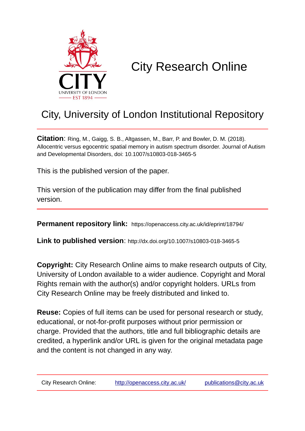

# City Research Online

# City, University of London Institutional Repository

**Citation**: Ring, M., Gaigg, S. B., Altgassen, M., Barr, P. and Bowler, D. M. (2018). Allocentric versus egocentric spatial memory in autism spectrum disorder. Journal of Autism and Developmental Disorders, doi: 10.1007/s10803-018-3465-5

This is the published version of the paper.

This version of the publication may differ from the final published version.

**Permanent repository link:** https://openaccess.city.ac.uk/id/eprint/18794/

**Link to published version**: http://dx.doi.org/10.1007/s10803-018-3465-5

**Copyright:** City Research Online aims to make research outputs of City, University of London available to a wider audience. Copyright and Moral Rights remain with the author(s) and/or copyright holders. URLs from City Research Online may be freely distributed and linked to.

**Reuse:** Copies of full items can be used for personal research or study, educational, or not-for-profit purposes without prior permission or charge. Provided that the authors, title and full bibliographic details are credited, a hyperlink and/or URL is given for the original metadata page and the content is not changed in any way.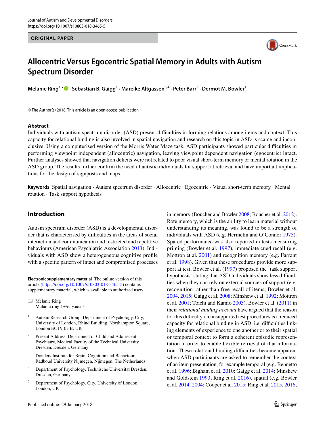#### **ORIGINAL PAPER**



# **Allocentric Versus Egocentric Spatial Memory in Adults with Autism Spectrum Disorder**

**Melanie Ring1,2 · Sebastian B. Gaigg1 · Mareike Altgassen3,4 · Peter Barr5 · Dermot M. Bowler1**

© The Author(s) 2018. This article is an open access publication

#### **Abstract**

Individuals with autism spectrum disorder (ASD) present difficulties in forming relations among items and context. This capacity for relational binding is also involved in spatial navigation and research on this topic in ASD is scarce and inconclusive. Using a computerised version of the Morris Water Maze task, ASD participants showed particular difficulties in performing viewpoint independent (allocentric) navigation, leaving viewpoint dependent navigation (egocentric) intact. Further analyses showed that navigation deficits were not related to poor visual short-term memory or mental rotation in the ASD group. The results further confirm the need of autistic individuals for support at retrieval and have important implications for the design of signposts and maps.

**Keywords** Spatial navigation · Autism spectrum disorder · Allocentric · Egocentric · Visual short-term memory · Mental rotation · Task support hypothesis

# **Introduction**

Autism spectrum disorder (ASD) is a developmental disorder that is characterised by difficulties in the areas of social interaction and communication and restricted and repetitive behaviours (American Psychiatric Association [2013](#page-9-0)). Individuals with ASD show a heterogeneous cognitive profile with a specific pattern of intact and compromised processes

**Electronic supplementary material** The online version of this article [\(https://doi.org/10.1007/s10803-018-3465-5\)](https://doi.org/10.1007/s10803-018-3465-5) contains supplementary material, which is available to authorized users.

 $\boxtimes$  Melanie Ring Melanie.ring.1@city.ac.uk

- <sup>1</sup> Autism Research Group, Department of Psychology, City, University of London, Rhind Building, Northampton Square, London EC1V 0HB, UK
- Present Address: Department of Child and Adolescent Psychiatry, Medical Faculty of the Technical University Dresden, Dresden, Germany
- <sup>3</sup> Donders Institute for Brain, Cognition and Behaviour, Radboud University Nijmegen, Nijmegen, The Netherlands
- <sup>4</sup> Department of Psychology, Technische Universität Dresden, Dresden, Germany
- <sup>5</sup> Department of Psychology, City, University of London, London, UK

in memory (Boucher and Bowler [2008](#page-9-1); Boucher et al. [2012](#page-9-2)). Rote memory, which is the ability to learn material without understanding its meaning, was found to be a strength of individuals with ASD (e.g. Hermelin and O`Connor [1975](#page-10-0)). Spared performance was also reported in tests measuring priming (Bowler et al. [1997](#page-9-3)), immediate cued recall (e.g. Mottron et al. [2001\)](#page-10-1) and recognition memory (e.g. Farrant et al. [1998](#page-10-2)). Given that these procedures provide more support at test, Bowler et al. ([1997](#page-9-3)) proposed the 'task support hypothesis' stating that ASD individuals show less difficulties when they can rely on external sources of support (e.g. recognition rather than free recall of items; Bowler et al. [2004,](#page-9-4) [2015](#page-9-5); Gaigg et al. [2008](#page-10-3); Minshew et al. [1992](#page-10-4); Mottron et al. [2001;](#page-10-1) Toichi and Kamio [2003\)](#page-11-0). Bowler et al. ([2011\)](#page-9-6) in their *relational binding account* have argued that the reason for this difficulty on unsupported test procedures is a reduced capacity for relational binding in ASD, i.e. difficulties linking elements of experience to one another or to their spatial or temporal context to form a coherent episodic representation in order to enable flexible retrieval of that information. These relational binding difficulties become apparent when ASD participants are asked to remember the context of an item presentation, for example temporal (e.g. Bennetto et al. [1996;](#page-9-7) Bigham et al. [2010;](#page-9-8) Gaigg et al. [2014;](#page-10-5) Minshew and Goldstein [1993;](#page-10-6) Ring et al. [2016](#page-10-7)), spatial (e.g. Bowler et al. [2014](#page-9-9), [2004;](#page-9-4) Cooper et al. [2015](#page-10-8); Ring et al. [2015,](#page-10-9) [2016](#page-10-7);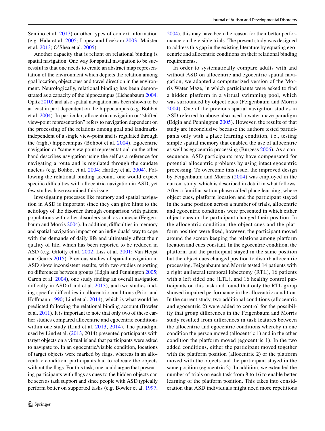Semino et al. [2017](#page-10-10)) or other types of context information (e.g. Hala et al. [2005;](#page-10-11) Lopez and Leekam [2003](#page-10-12); Maister et al. [2013](#page-10-13); O'Shea et al. [2005](#page-10-14)).

Another capacity that is reliant on relational binding is spatial navigation. One way for spatial navigation to be successful is that one needs to create an abstract map representation of the environment which depicts the relation among goal location, object cues and travel direction in the environment. Neurologically, relational binding has been demonstrated as a capacity of the hippocampus (Eichenbaum [2004](#page-10-15); Opitz [2010\)](#page-10-16) and also spatial navigation has been shown to be at least in part dependent on the hippocampus (e.g. Bohbot et al. [2004](#page-9-10)). In particular, allocentric navigation or "shifted view-point representation" refers to navigation dependent on the processing of the relations among goal and landmarks independent of a single view-point and is regulated through the (right) hippocampus (Bohbot et al. [2004](#page-9-10)). Egocentric navigation or "same view-point representation" on the other hand describes navigation using the self as a reference for navigating a route and is regulated through the caudate nucleus (e.g. Bohbot et al. [2004](#page-9-10); Hartley et al. [2004\)](#page-10-17). Following the relational binding account, one would expect specific difficulties with allocentric navigation in ASD, yet few studies have examined this issue.

Investigating processes like memory and spatial navigation in ASD is important since they can give hints to the aetiology of the disorder through comparison with patient populations with other disorders such as amnesia (Feigenbaum and Morris [2004](#page-10-18)). In addition, difficulties in memory and spatial navigation impact on an individuals' way to cope with the demands of daily life and ultimately affect their quality of life, which has been reported to be reduced in ASD (e.g. Gilotty et al. [2002;](#page-10-19) Liss et al. [2001](#page-10-20); Van Heijst and Geurts [2015](#page-11-1)). Previous studies of spatial navigation in ASD show inconsistent results, with two studies reporting no differences between groups (Edgin and Pennington [2005](#page-10-21); Caron et al. [2004\)](#page-9-11), one study finding an overall navigation difficulty in ASD (Lind et al. [2013](#page-10-22)), and two studies finding specific difficulties in allocentric conditions (Prior and Hoffmann [1990;](#page-10-23) Lind et al. [2014\)](#page-10-24), which is what would be predicted following the relational binding account (Bowler et al. [2011\)](#page-9-6). It is important to note that only two of these earlier studies compared allocentric and egocentric conditions within one study (Lind et al. [2013](#page-10-22), [2014\)](#page-10-24). The paradigm used by Lind et al. [\(2013](#page-10-22), 2014) presented participants with target objects on a virtual island that participants were asked to navigate to. In an egocentric/visible condition, locations of target objects were marked by flags, whereas in an allocentric condition, participants had to relocate the objects without the flags. For this task, one could argue that presenting participants with flags as cues to the hidden objects can be seen as task support and since people with ASD typically perform better on supported tasks (e.g. Bowler et al. [1997,](#page-9-3) [2004](#page-9-4)), this may have been the reason for their better performance on the visible trials. The present study was designed to address this gap in the existing literature by equating egocentric and allocentric conditions on their relational binding requirements.

In order to systematically compare adults with and without ASD on allocentric and egocentric spatial navigation, we adapted a computerized version of the Morris Water Maze, in which participants were asked to find a hidden platform in a virtual swimming pool, which was surrounded by object cues (Feigenbaum and Morris [2004](#page-10-18)). One of the previous spatial navigation studies in ASD referred to above also used a water maze paradigm (Edgin and Pennington [2005](#page-10-21)). However, the results of that study are inconclusive because the authors tested participants only with a place learning condition, i.e., testing simple spatial memory that enabled the use of allocentric as well as egocentric processing (Burgess [2006](#page-9-12)). As a consequence, ASD participants may have compensated for potential allocentric problems by using intact egocentric processing. To overcome this issue, the improved design by Feigenbaum and Morris ([2004\)](#page-10-18) was employed in the current study, which is described in detail in what follows. After a familiarisation phase called place learning, where object cues, platform location and the participant stayed in the same position across a number of trials, allocentric and egocentric conditions were presented in which either object cues or the participant changed their position. In the allocentric condition, the object cues and the platform position were fixed, however, the participant moved around the screen keeping the relations among platform location and cues constant. In the egocentric condition, the platform and the participant stayed in the same position but the object cues changed position to disturb allocentric processing. Feigenbaum and Morris tested 14 patients with a right unilateral temporal lobectomy (RTL), 16 patients with a left sided one (LTL), and 16 healthy control participants on this task and found that only the RTL group showed impaired performance in the allocentric condition. In the current study, two additional conditions (allocentric and egocentric 2) were added to control for the possibility that group differences in the Feigenbaum and Morris study resulted from differences in task features between the allocentric and egocentric conditions whereby in one condition the person moved (allocentric 1) and in the other condition the platform moved (egocentric 1). In the two added conditions, either the participant moved together with the platform position (allocentric 2) or the platform moved with the objects and the participant stayed in the same position (egocentric 2). In addition, we extended the number of trials on each task from 8 to 16 to enable better learning of the platform position. This takes into consideration that ASD individuals might need more repetitions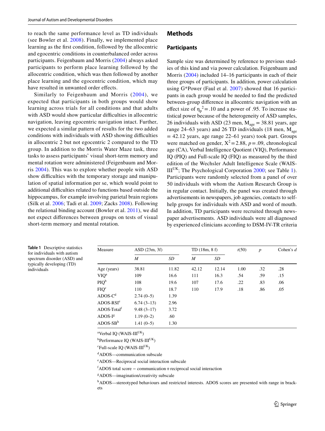to reach the same performance level as TD individuals (see Bowler et al. [2008\)](#page-9-13). Finally, we implemented place learning as the first condition, followed by the allocentric and egocentric conditions in counterbalanced order across participants. Feigenbaum and Morris [\(2004\)](#page-10-18) always asked participants to perform place learning followed by the allocentric condition, which was then followed by another place learning and the egocentric condition, which may have resulted in unwanted order effects.

Similarly to Feigenbaum and Morris ([2004](#page-10-18)), we expected that participants in both groups would show learning across trials for all conditions and that adults with ASD would show particular difficulties in allocentric navigation, leaving egocentric navigation intact. Further, we expected a similar pattern of results for the two added conditions with individuals with ASD showing difficulties in allocentric 2 but not egocentric 2 compared to the TD group. In addition to the Morris Water Maze task, three tasks to assess participants' visual short-term memory and mental rotation were administered (Feigenbaum and Morris [2004](#page-10-18)). This was to explore whether people with ASD show difficulties with the temporary storage and manipulation of spatial information per se, which would point to additional difficulties related to functions based outside the hippocampus, for example involving parietal brain regions (Silk et al. [2006;](#page-10-25) Tadi et al. [2009;](#page-11-2) Zacks [2008\)](#page-11-3). Following the relational binding account (Bowler et al. [2011\)](#page-9-6), we did not expect differences between groups on tests of visual short-term memory and mental rotation.

# **Methods**

#### **Participants**

Sample size was determined by reference to previous studies of this kind and via power calculation. Feigenbaum and Morris [\(2004](#page-10-18)) included 14–16 participants in each of their three groups of participants. In addition, power calculation using G\*Power (Faul et al. [2007\)](#page-10-26) showed that 16 participants in each group would be needed to find the predicted between-group difference in allocentric navigation with an effect size of  $\eta_p^2 = 0.10$  and a power of 0.95. To increase statistical power because of the heterogeneity of ASD samples, 26 individuals with ASD (23 men,  $M_{\text{age}} = 38.81$  years, age range 24–63 years) and 26 TD individuals (18 men,  $M_{\text{age}}$  $= 42.12$  years, age range 22–61 years) took part. Groups were matched on gender,  $X^2 = 2.88$ ,  $p = .09$ , chronological age (CA), Verbal Intelligence Quotient (VIQ), Performance IQ (PIQ) and Full-scale IQ (FIQ) as measured by the third edition of the Wechsler Adult Intelligence Scale (WAIS- $III<sup>UK</sup>$ ; The Psychological Corporation [2000](#page-11-4); see Table [1](#page-3-0)). Participants were randomly selected from a panel of over 50 individuals with whom the Autism Research Group is in regular contact. Initially, the panel was created through advertisements in newspapers, job agencies, contacts to selfhelp groups for individuals with ASD and word of mouth. In addition, TD participants were recruited through newspaper advertisements. ASD individuals were all diagnosed by experienced clinicians according to DSM-IV-TR criteria

<span id="page-3-0"></span>

|             | <b>Table 1</b> Descriptive statistics |
|-------------|---------------------------------------|
|             | for individuals with autism           |
|             | spectrum disorder (ASD) and           |
|             | typically developing (TD)             |
| individuals |                                       |

| Measure                 |                  | ASD(23m, 3f) |       | TD(18m, 8f) |      | $\boldsymbol{p}$ | Cohen's $d$ |
|-------------------------|------------------|--------------|-------|-------------|------|------------------|-------------|
|                         | $\boldsymbol{M}$ | SD           | M     | SD          |      |                  |             |
| Age (years)             | 38.81            | 11.82        | 42.12 | 12.14       | 1.00 | .32              | .28         |
| VIQ <sup>a</sup>        | 109              | 16.6         | 111   | 16.3        | .54  | .59              | .15         |
| PIQ <sup>b</sup>        | 108              | 19.6         | 107   | 17.6        | .22  | .83              | .06         |
| FIQ <sup>c</sup>        | 110              | 18.7         | 110   | 17.9        | .18  | .86              | .05         |
| $ADOS-Cd$               | $2.74(0-5)$      | 1.39         |       |             |      |                  |             |
| $\rm{ADOS}\text{-}RSIe$ | $6.74(3-13)$     | 2.96         |       |             |      |                  |             |
| ADOS-Total <sup>f</sup> | $9.48(3-17)$     | 3.72         |       |             |      |                  |             |
| $ADOS-Ig$               | $1.19(0-2)$      | .60          |       |             |      |                  |             |
| $ADOS-SBh$              | $1.41(0-5)$      | 1.30         |       |             |      |                  |             |

<sup>a</sup>Verbal IQ (WAIS-III<sup>UK</sup>)

<sup>b</sup>Performance IQ (WAIS-III<sup>UK</sup>)

 $\mathrm{c}$ Full-scale IQ (WAIS-III<sup>UK</sup>)

d ADOS—communication subscale

e ADOS—Reciprocal social interaction subscale

f ADOS total score − communication+reciprocal social interaction

g ADOS—imagination/creativity subscale

hADOS—stereotyped behaviours and restricted interests. ADOS scores are presented with range in brackets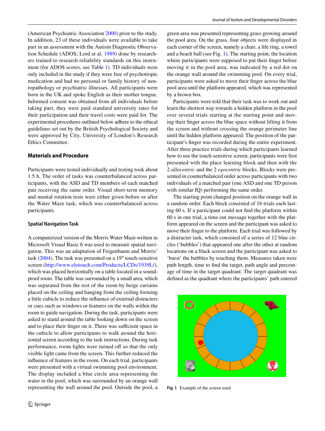(American Psychiatric Association [2000](#page-9-14)) prior to the study. In addition, 23 of these individuals were available to take part in an assessment with the Autism Diagnostic Observation Schedule (ADOS; Lord et al. [1989\)](#page-10-27) done by researchers trained to research reliability standards on this instrument (for ADOS scores, see Table [1\)](#page-3-0). TD individuals were only included in the study if they were free of psychotropic medication and had no personal or family history of neuropathology or psychiatric illnesses. All participants were born in the UK and spoke English as their mother tongue. Informed consent was obtained from all individuals before taking part, they were paid standard university rates for their participation and their travel costs were paid for. The experimental procedures outlined below adhere to the ethical guidelines set out by the British Psychological Society and were approved by City, University of London's Research Ethics Committee.

# **Materials and Procedure**

Participants were tested individually and testing took about 1.5 h. The order of tasks was counterbalanced across participants, with the ASD and TD members of each matched pair receiving the same order. Visual short-term memory and mental rotation tests were either given before or after the Water Maze task, which was counterbalanced across participants.

### **Spatial Navigation Task**

A computerized version of the Morris Water Maze written in Microsoft Visual Basic 6 was used to measure spatial navigation. This was an adaptation of Feigenbaum and Morris' task ([2004\)](#page-10-18). The task was presented on a 19″ touch-sensitive screen [\(http://www.elotouch.com/Products/LCDs/1939L/](http://www.elotouch.com/Products/LCDs/1939L/)), which was placed horizontally on a table located in a soundproof room. The table was surrounded by a small area, which was separated from the rest of the room by beige curtains placed on the ceiling and hanging from the ceiling forming a little cubicle to reduce the influence of external distracters or cues such as windows or features on the walls within the room to guide navigation. During the task, participants were asked to stand around the table looking down on the screen and to place their finger on it. There was sufficient space in the cubicle to allow participants to walk around the horizontal screen according to the task instructions. During task performance, room lights were turned off so that the only visible light came from the screen. This further reduced the influence of features in the room. On each trial, participants were presented with a virtual swimming pool environment. The display included a blue circle area representing the water in the pool, which was surrounded by an orange wall representing the wall around the pool. Outside the pool, a green area was presented representing grass growing around the pool area. On the grass, four objects were displayed in each corner of the screen, namely a chair, a life ring, a towel and a beach ball (see Fig. [1\)](#page-4-0). The starting point, the location where participants were supposed to put their finger before moving it in the pool area, was indicated by a red dot on the orange wall around the swimming pool. On every trial, participants were asked to move their finger across the blue pool area until the platform appeared, which was represented by a brown box.

Participants were told that their task was to work out and learn the shortest way towards a hidden platform in the pool over several trials starting at the starting point and moving their finger across the blue space without lifting it from the screen and without crossing the orange perimeter line until the hidden platform appeared. The position of the participant's finger was recorded during the entire experiment. After three practice trials during which participants learned how to use the touch-sensitive screen, participants were first presented with the place learning block and then with the 2 *allocentric* and the 2 *egocentric* blocks. Blocks were presented in counterbalanced order across participants with two individuals of a matched pair (one ASD and one TD person with similar IQ) performing the same order.

The starting point changed position on the orange wall in a random order. Each block consisted of 16 trials each lasting 60 s. If a participant could not find the platform within 60 s in one trial, a time out message together with the platform appeared on the screen and the participant was asked to move their finger to the platform. Each trial was followed by a distracter task, which consisted of a series of 12 blue circles ('bubbles') that appeared one after the other at random locations on a black screen and the participant was asked to 'burst' the bubbles by touching them. Measures taken were path length, time to find the target, path angle and percentage of time in the target quadrant. The target quadrant was defined as the quadrant where the participants' path entered

<span id="page-4-0"></span>

**Fig. 1** Example of the screen used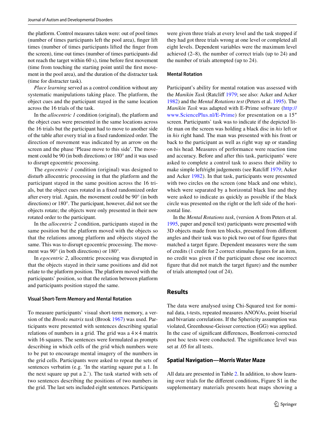the platform. Control measures taken were: out of pool times (number of times participants left the pool area), finger lift times (number of times participants lifted the finger from the screen), time out times (number of times participants did not reach the target within 60 s), time before first movement (time from touching the starting point until the first movement in the pool area), and the duration of the distracter task (time for distracter task).

*Place learning* served as a control condition without any systematic manipulations taking place. The platform, the object cues and the participant stayed in the same location across the 16 trials of the task.

In the *allocentric 1* condition (original), the platform and the object cues were presented in the same locations across the 16 trials but the participant had to move to another side of the table after every trial in a fixed randomized order. The direction of movement was indicated by an arrow on the screen and the phase 'Please move to this side'. The movement could be 90 (in both directions) or 180° and it was used to disrupt egocentric processing.

The *egocentric 1* condition (original) was designed to disturb allocentric processing in that the platform and the participant stayed in the same position across the 16 trials, but the object cues rotated in a fixed randomized order after every trial. Again, the movement could be 90° (in both directions) or 180°. The participant, however, did not see the objects rotate; the objects were only presented in their new rotated order to the participant.

In the *allocentric 2* condition, participants stayed in the same position but the platform moved with the objects so that the relations among platform and objects stayed the same. This was to disrupt egocentric processing. The movement was 90° (in both directions) or 180°.

In *egocentric 2*, allocentric processing was disrupted in that the objects stayed in their same positions and did not relate to the platform position. The platform moved with the participants' position, so that the relation between platform and participants position stayed the same.

#### **Visual Short‑Term Memory and Mental Rotation**

To measure participants' visual short-term memory, a version of the *Brooks matrix task* (Brook [1967\)](#page-9-15) was used. Participants were presented with sentences describing spatial relations of numbers in a grid. The grid was a  $4 \times 4$  matrix with 16 squares. The sentences were formulated as prompts describing in which cells of the grid which numbers were to be put to encourage mental imagery of the numbers in the grid cells. Participants were asked to repeat the sets of sentences verbatim (e.g. 'In the starting square put a 1. In the next square up put a 2.'). The task started with sets of two sentences describing the positions of two numbers in the grid. The last sets included eight sentences. Participants

were given three trials at every level and the task stopped if they had got three trials wrong at one level or completed all eight levels. Dependent variables were the maximum level achieved (2–8), the number of correct trials (up to 24) and the number of trials attempted (up to 24).

#### **Mental Rotation**

Participant's ability for mental rotation was assessed with the *Manikin Task* (Ratcliff [1979](#page-10-28); see also: Acker and Acker [1982](#page-9-16)) and the *Mental Rotations test* (Peters et al. [1995\)](#page-10-29). The *Manikin Task* was adapted with E-Prime software ([http://](http://www.SciencePlus.nl/E-Prime) [www.SciencePlus.nl/E-Prime\)](http://www.SciencePlus.nl/E-Prime) for presentation on a 15″ screen. Participants` task was to indicate if the depicted little man on the screen was holding a black disc in *his* left or in *his* right hand. The man was presented with his front or back to the participant as well as right way up or standing on his head. Measures of performance were reaction time and accuracy. Before and after this task, participants' were asked to complete a control task to assess their ability to make simple left/right judgements (see Ratcliff [1979](#page-10-28); Acker and Acker [1982](#page-9-16)). In that task, participants were presented with two circles on the screen (one black and one white), which were separated by a horizontal black line and they were asked to indicate as quickly as possible if the black circle was presented on the right or the left side of the horizontal line.

In the *Mental Rotations task*, (version A from Peters et al. [1995,](#page-10-29) paper and pencil test) participants were presented with 3D objects made from ten blocks, presented from different angles and their task was to pick two out of four figures that matched a target figure. Dependent measures were the sum of credits (1 credit for 2 correct stimulus figures for an item, no credit was given if the participant chose one incorrect figure that did not match the target figure) and the number of trials attempted (out of 24).

# **Results**

The data were analysed using Chi-Squared test for nominal data, t-tests, repeated measures ANOVAs, point biserial and bivariate correlations. If the Sphericity assumption was violated, Greenhouse-Geisser correction (GG) was applied. In the case of significant differences, Bonferroni-corrected post hoc tests were conducted. The significance level was set at .05 for all tests.

### **Spatial Navigation—Morris Water Maze**

All data are presented in Table [2.](#page-6-0) In addition, to show learning over trials for the different conditions, Figure S1 in the supplementary materials presents heat maps showing a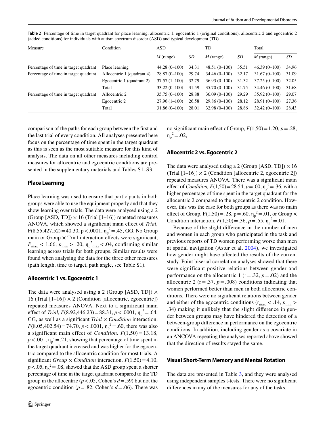<span id="page-6-0"></span>**Table 2** Percentage of time in target quadrant for place learning, allocentric 1, egocentric 1 (original conditions), allocentric 2 and egocentric 2 (added conditions) for individuals with autism spectrum disorder (ASD) and typical development (TD)

| Condition                                                                      | ASD.                                  |       | TD             |       | Total          |       |
|--------------------------------------------------------------------------------|---------------------------------------|-------|----------------|-------|----------------|-------|
|                                                                                | $M$ (range)                           | SD    | $M$ (range)    | SD    | $M$ (range)    | SD    |
| Place learning                                                                 | $44.28(0-100)$                        | 34.31 | $48.51(0-100)$ | 35.51 | $46.39(0-100)$ | 34.96 |
| Allocentric 1 (quadrant 4)                                                     | $28.87(0-100)$                        | 29.74 | $34.46(0-100)$ | 32.17 | $31.67(0-100)$ | 31.09 |
| Egocentric 1 (quadrant 2)                                                      | $37.57(1-100)$                        | 32.79 | $36.93(0-100)$ | 31.32 | $37.25(0-100)$ | 32.05 |
| Total                                                                          | $33.22(0-100)$                        | 31.59 | $35.70(0-100)$ | 31.75 | $34.46(0-100)$ | 31.68 |
| Allocentric 2                                                                  | $35.75(0-100)$                        | 28.88 | $36.09(0-100)$ | 29.29 | $35.92(0-100)$ | 29.07 |
| Egocentric 2                                                                   | $27.96(1-100)$                        | 26.58 | $29.86(0-100)$ | 28.12 | $28.91(0-100)$ | 27.36 |
| Total                                                                          | $31.86(0-100)$                        | 28.01 | $32.98(0-100)$ | 28.86 | $32.42(0-100)$ | 28.43 |
| Percentage of time in target quadrant<br>Percentage of time in target quadrant | Percentage of time in target quadrant |       |                |       |                |       |

comparison of the paths for each group between the first and the last trial of every condition. All analyses presented here focus on the percentage of time spent in the target quadrant as this is seen as the most suitable measure for this kind of analysis. The data on all other measures including control measures for allocentric and egocentric conditions are presented in the supplementary materials and Tables S1–S3.

# **Place Learning**

Place learning was used to ensure that participants in both groups were able to use the equipment properly and that they show learning over trials. The data were analysed using a 2 (Group [ASD, TD])  $\times$  16 (Trial [1–16]) repeated measures ANOVA, which showed a significant main effect of *Trial*,  $F(8.55, 427.52) = 40.30, p < .0001, \eta_p^2 = .45, GG.$  No Group main or Group  $\times$  Trial interaction effects were significant,  $F_{\text{max}} < 1.66$ ,  $p_{\text{min}} > .20$ ,  $\eta_{\text{p}}^2_{\text{max}} < .04$ , confirming similar learning across trials for both groups. Similar results were found when analysing the data for the three other measures (path length, time to target, path angle, see Table S1).

# **Allocentric 1 vs. Egocentric 1**

The data were analysed using a 2 (Group [ASD, TD])  $\times$ 16 (Trial  $[1-16]$ )  $\times$  2 (Condition [allocentric, egocentric]) repeated measures ANOVA. Next to a significant main effect of *Trial, F*(8.92,446.23) = 88.31,  $p < .0001$ ,  $\eta_p^2 = .64$ , GG, as well as a significant *Trial* × *Condition* interaction,  $F(8.05,402.54) = 74.70, p < .0001, \eta_p^2 = .60$ , there was also a significant main effect of *Condition, F*(1,50) = 13.18,  $p < .001$ ,  $\eta_p^2 = .21$ , showing that percentage of time spent in the target quadrant increased and was higher for the egocentric compared to the allocentric condition for most trials. A significant *Group*  $\times$  *Condition* interaction,  $F(1,50) = 4.10$ ,  $p < .05$ ,  $\eta_p^2 = .08$ , showed that the ASD group spent a shorter percentage of time in the target quadrant compared to the TD group in the allocentric ( $p < .05$ , Cohen's  $d = .59$ ) but not the egocentric condition (*p*=.82, Cohen's *d*=.06). There was

no significant main effect of Group,  $F(1,50) = 1.20$ ,  $p = .28$ ,  $\eta_p^2 = .02$ ,

# **Allocentric 2 vs. Egocentric 2**

The data were analysed using a 2 (Group [ASD, TD])  $\times$  16 (Trial  $[1-16]$ ) × 2 (Condition [allocentric 2, egocentric 2]) repeated measures ANOVA. There was a significant main effect of *Condition, F*(1,50)=28.54, *p* = .00,  $\eta_p^2$  = .36, with a higher percentage of time spent in the target quadrant for the allocentric 2 compared to the egocentric 2 condition. However, this was the case for both groups as there was no main effect of Group,  $F(1,50) = .28$ ,  $p = .60$ ,  $\eta_p^2 = .01$ , or Group  $\times$ Condition interaction,  $F(1,50) = .36$ ,  $p = .55$ ,  $\eta_p^2 = .01$ .

Because of the slight difference in the number of men and women in each group who participated in the task and previous reports of TD women performing worse than men at spatial navigation (Astur et al. [2004\)](#page-9-17), we investigated how gender might have affected the results of the current study. Point biserial correlation analyses showed that there were significant positive relations between gender and performance on the allocentric 1 ( $r = .32$ ,  $p = .02$ ) and the allocentric 2 ( $r = .37$ ,  $p = .008$ ) conditions indicating that women performed better than men in both allocentric conditions. There were no significant relations between gender and either of the egocentric conditions ( $r_{\text{max}} < .14$ ,  $p_{\text{min}} >$ .34) making it unlikely that the slight difference in gender between groups may have hindered the detection of a between-group difference in performance on the egocentric conditions. In addition, including gender as a covariate in an ANCOVA repeating the analyses reported above showed that the direction of results stayed the same.

### **Visual Short‑Term Memory and Mental Rotation**

The data are presented in Table [3](#page-7-0), and they were analysed using independent samples t-tests. There were no significant differences in any of the measures for any of the tasks.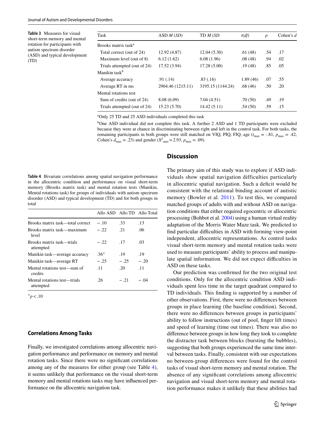<span id="page-7-0"></span>**Table 3** Measures for visual short-term memory and mental rotation for participants with autism spectrum disorder (ASD) and typical development (TD)

| Task                            | ASD M(SD)         | TD M (SD          | t(df)    | $\boldsymbol{p}$ | Cohen's $d$ |
|---------------------------------|-------------------|-------------------|----------|------------------|-------------|
| Brooks matrix task <sup>a</sup> |                   |                   |          |                  |             |
| Total correct (out of 24)       | 12.92 (4.87)      | 12.04(5.30)       | .61(48)  | .54              | .17         |
| Maximum level (out of 8)        | 6.12(1.62)        | 6.08(1.96)        | .08(48)  | .94              | .02         |
| Trials attempted (out of 24)    | 17.52 (3.94)      | 17.28(5.00)       | .19(48)  | .85              | .05         |
| Manikin task <sup>b</sup>       |                   |                   |          |                  |             |
| Average accuracy                | .91( .14)         | .83(.16)          | 1.89(46) | .07              | .55         |
| Average RT in ms                | 2964.46 (1215.11) | 3195.15 (1144.24) | .68(46)  | .50              | .20         |
| Mental rotations test           |                   |                   |          |                  |             |
| Sum of credits (out of 24)      | 8.08(6.09)        | 7.04(4.51)        | .70(50)  | .49              | .19         |
| Trials attempted (out of 24)    | 15.23 (5.70)      | 14.42(5.11)       | .54(50)  | .59              | .15         |

<sup>a</sup>Only 25 TD and 25 ASD individuals completed this task

<sup>b</sup>One ASD individual did not complete this task. A further 2 ASD and 1 TD participants were excluded because they were at chance in discriminating between right and left in the control task. For both tasks, the remaining participants in both groups were still matched on VIQ, PIQ, FIQ, age  $(t_{\text{max}} = -.81, p_{\text{max}} = .42,$ Cohen's  $d_{\text{max}} = .23$ ) and gender ( $X^2_{\text{max}} = 2.93$ ,  $p_{\text{max}} = .09$ ).

<span id="page-7-1"></span>**Table 4** Bivariate correlations among spatial navigation performance in the allocentric condition and performance on visual short-term memory (Brooks matrix task) and mental rotation tests (Manikin, Mental rotations task) for groups of individuals with autism spectrum disorder (ASD) and typical development (TD) and for both groups in total

|                                           | Allo ASD Allo TD Allo Total |        |        |
|-------------------------------------------|-----------------------------|--------|--------|
| Brooks matrix task—total correct          | $-.10$                      | .33    | .13    |
| Brooks matrix task—maximum<br>level       | $-.22$                      | -21    | .06    |
| Brooks matrix task—trials<br>attempted    | $-.22.$                     | .17    | .03    |
| Manikin task—average accuracy             | $.36^{+}$                   | .19    | .19    |
| Manikin task—average RT                   | $-.25$                      | $-.25$ | $-.20$ |
| Mental rotations test—sum of<br>credits   | .11                         | -20    | .11    |
| Mental rotations test—trials<br>attempted | -26                         | $-.21$ | $-.04$ |
|                                           |                             |        |        |

 $+p < .10$ 

#### **Correlations Among Tasks**

Finally, we investigated correlations among allocentric navigation performance and performance on memory and mental rotation tasks. Since there were no significant correlations among any of the measures for either group (see Table [4](#page-7-1)), it seems unlikely that performance on the visual short-term memory and mental rotations tasks may have influenced performance on the allocentric navigation task.

# **Discussion**

The primary aim of this study was to explore if ASD individuals show spatial navigation difficulties particularly in allocentric spatial navigation. Such a deficit would be consistent with the relational binding account of autistic memory (Bowler et al. [2011\)](#page-9-6). To test this, we compared matched groups of adults with and without ASD on navigation conditions that either required egocentric or allocentric processing (Bohbot et al. [2004\)](#page-9-10) using a human virtual reality adaptation of the Morris Water Maze task. We predicted to find particular difficulties in ASD with forming view-point independent, allocentric representations. As control tasks visual short-term memory and mental rotation tasks were used to measure participants' ability to process and manipulate spatial information. We did not expect difficulties in ASD on these tasks.

Our prediction was confirmed for the two original test conditions. Only for the allocentric condition ASD individuals spent less time in the target quadrant compared to TD individuals. This finding is supported by a number of other observations. First, there were no differences between groups in place learning (the baseline condition). Second, there were no differences between groups in participants' ability to follow instructions (out of pool, finger lift times) and speed of learning (time out times). There was also no difference between groups in how long they took to complete the distracter task between blocks (bursting the bubbles), suggesting that both groups experienced the same time interval between tasks. Finally, consistent with our expectations no between-group differences were found for the control tasks of visual short-term memory and mental rotation. The absence of any significant correlations among allocentric navigation and visual short-term memory and mental rotation performance makes it unlikely that these abilities had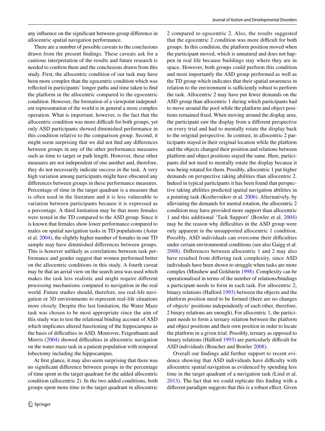any influence on the significant between-group difference in allocentric spatial navigation performance.

There are a number of possible caveats to the conclusions drawn from the present findings. These caveats ask for a cautious interpretation of the results and future research is needed to confirm them and the conclusions drawn from this study. First, the allocentric condition of our task may have been more complex than the egocentric condition which was reflected in participants' longer paths and time taken to find the platform in the allocentric compared to the egocentric condition. However, the formation of a viewpoint independent representation of the world is in general a more complex operation. What is important, however, is the fact that the allocentric condition was more difficult for both groups, yet only ASD participants showed diminished performance in this condition relative to the comparison group. Second, it might seem surprising that we did not find any differences between groups in any of the other performance measures such as time to target or path length. However, these other measures are not independent of one another and, therefore, they do not necessarily indicate success in the task. A very high variation among participants might have obscured any differences between groups in these performance measures. Percentage of time in the target quadrant is a measure that is often used in the literature and it is less vulnerable to variation between participants because it is expressed as a percentage. A third limitation may be that more females were tested in the TD compared to the ASD group. Since it is known that females show lower performance compared to males on spatial navigation tasks in TD populations (Astur et al. [2004](#page-9-17)), the slightly higher number of females in our TD sample may have diminished differences between groups. This is however unlikely as correlations between task performance and gender suggest that women performed better on the allocentric conditions in this study. A fourth caveat may be that an aerial view on the search area was used which makes the task less realistic and might require different processing mechanisms compared to navigation in the real world. Future studies should, therefore, use real-life navigation or 3D environments to represent real-life situations more closely. Despite this last limitation, the Water Maze task was chosen to be most appropriate since the aim of this study was to test the relational binding account of ASD which implicates altered functioning of the hippocampus as the basis of difficulties in ASD. Moreover, Feigenbaum and Morris [\(2004](#page-10-18)) showed difficulties in allocentric navigation on the water maze task in a patient population with temporal lobectomy including the hippocampus.

At first glance, it may also seem surprising that there was no significant difference between groups in the percentage of time spent in the target quadrant for the added allocentric condition (allocentric 2). In the two added conditions, both groups spent more time in the target quadrant in allocentric 2 compared to egocentric 2. Also, the results suggested that the egocentric 2 condition was more difficult for both groups. In this condition, the platform position moved when the participant moved, which is unnatural and does not happen in real life because buildings stay where they are in space. However, both groups could perform this condition and most importantly the ASD group performed as well as the TD group which indicates that their spatial awareness in relation to the environment is sufficiently robust to perform the task. Allocentric 2 may have put fewer demands on the ASD group than allocentric 1 during which participants had to move around the pool while the platform and object positions remained fixed. When moving around the display area, the participant saw the display from a different perspective on every trial and had to mentally rotate the display back to the original perspective. In contrast, in allocentric 2 participants stayed in their original location while the platform and the objects changed their position and relations between platform and object positions stayed the same. Here, participants did not need to mentally rotate the display because it was being rotated for them. Possibly, allocentric 1 put higher demands on perspective taking abilities than allocentric 2. Indeed in typical participants it has been found that perspective taking abilities predicted spatial navigation abilities in a pointing task (Kozhevnikov et al. [2006\)](#page-10-30). Alternatively, by alleviating the demands for mental rotation, the allocentric 2 condition may have provided more support than allocentric 1 and this additional 'Task Support' (Bowler et al. [2004\)](#page-9-4) may be the reason why difficulties in the ASD group were only apparent in the unsupported allocentric 1 condition. Possibly, ASD individuals can overcome their difficulties under certain environmental conditions (see also Gaigg et al. [2008\)](#page-10-3). Differences between allocentric 1 and 2 may also have resulted from differing task complexity, since ASD individuals have been shown to struggle when tasks are more complex (Minshew and Goldstein [1998\)](#page-10-31). Complexity can be operationalised in terms of the number of relations/bindings a participant needs to form in each task. For allocentric 2, binary relations (Halford [1993](#page-10-32)) between the objects and the platform position need to be formed (there are no changes of objects' positions independently of each other, therefore, 2 binary relations are enough). For allocentric 1, the participant needs to form a ternary relation between the platform and object positions and their own position in order to locate the platform in a given trial. Possibly, ternary as opposed to binary relations (Halford [1993](#page-10-32)) are particularly difficult for ASD individuals (Boucher and Bowler [2008\)](#page-9-1).

Overall our findings add further support to recent evidence showing that ASD individuals have difficulty with allocentric spatial navigation as evidenced by spending less time in the target quadrant of a navigation task (Lind et al. [2013\)](#page-10-22). The fact that we could replicate this finding with a different paradigm suggests that this is a robust effect. Given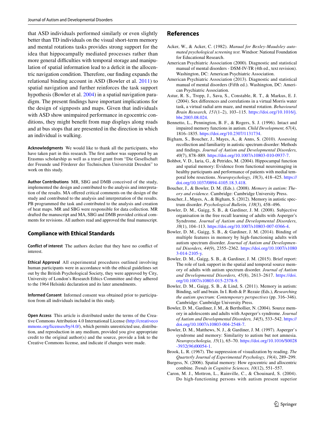that ASD individuals performed similarly or even slightly better than TD individuals on the visual short-term memory and mental rotations tasks provides strong support for the idea that hippocampally mediated processes rather than more general difficulties with temporal storage and manipulation of spatial information lead to a deficit in the allocentric navigation condition. Therefore, our finding expands the relational binding account in ASD (Bowler et al. [2011](#page-9-6)) to spatial navigation and further reinforces the task support hypothesis (Bowler et al. [2004\)](#page-9-4) in a spatial navigation paradigm. The present findings have important implications for the design of signposts and maps. Given that individuals with ASD show unimpaired performance in egocentric conditions, they might benefit from map displays along roads and at bus stops that are presented in the direction in which an individual is walking.

**Acknowledgments** We would like to thank all the participants, who have taken part in this research. The first author was supported by an Erasmus scholarship as well as a travel grant from "Die Gesellschaft der Freunde und Förderer der Technischen Universität Dresden" to work on this study.

**Author Contributions** MR, SBG and DMB conceived of the study, implemented the design and contributed to the analysis and interpretation of the results. MA offered critical comments on the design of the study and contributed to the analysis and interpretation of the results. PB programmed the task and contributed to the analysis and creation of heat maps. MR and SBG were responsible for data collection. MR drafted the manuscript and MA, SBG and DMB provided critical comments for revisions. All authors read and approved the final manuscript.

### **Compliance with Ethical Standards**

**Conflict of interest** The authors declare that they have no conflict of interest.

**Ethical Approval** All experimental procedures outlined involving human participants were in accordance with the ethical guidelines set out by the British Psychological Society, they were approved by City, University of London's Research Ethics Committee and they adhered to the 1964 Helsinki declaration and its later amendments.

**Informed Consent** Informed consent was obtained prior to participation from all individuals included in this study.

**Open Access** This article is distributed under the terms of the Creative Commons Attribution 4.0 International License [\(http://creativeco](http://creativecommons.org/licenses/by/4.0/) [mmons.org/licenses/by/4.0/](http://creativecommons.org/licenses/by/4.0/)), which permits unrestricted use, distribution, and reproduction in any medium, provided you give appropriate credit to the original author(s) and the source, provide a link to the Creative Commons license, and indicate if changes were made.

## **References**

- <span id="page-9-16"></span>Acker, W., & Acker, C. (1982). *Manual for Bexley-Maudsley automated psychological screening test*. Windsor: National Foundation for Educational Research.
- <span id="page-9-14"></span>American Psychiatric Association (2000). Diagnostic and statistical manual of mental disorders - DSM-IV-TR (4th ed., text revision). Washington, DC: American Psychiatric Association.
- <span id="page-9-0"></span>American Psychiatric Association (2013). Diagnostic and statistical manual of mental disorders (Fifth ed.). Washington, DC: American Psychiatric Association.
- <span id="page-9-17"></span>Astur, R. S., Tropp, J., Sava, S., Constable, R. T., & Markus, E. J. (2004). Sex differences and correlations in a virtual Morris water task, a virtual radial arm maze, and mental rotation. *Behavioural Brain Research, 151*(1–2), 103–115. [https://doi.org/10.1016/j.](https://doi.org/10.1016/j.bbr.2003.08.024) [bbr.2003.08.024](https://doi.org/10.1016/j.bbr.2003.08.024).
- <span id="page-9-7"></span>Bennetto, L., Pennington, B. F., & Rogers, S. J. (1996). Intact and impaired memory functions in autism. *Child Development, 67*(4), 1816–1835.<https://doi.org/10.2307/1131734>.
- <span id="page-9-8"></span>Bigham, S., Boucher, J., Mayes, A., & Anns, S. (2010). Assessing recollection and familiarity in autistic spectrum disorder: Methods and findings. *Journal of Autism and Developmental Disorders, 40*(7), 878–889.<https://doi.org/10.1007/s10803-010-0937-7>.
- <span id="page-9-10"></span>Bohbot, V. D., Iaria, G., & Petrides, M. (2004). Hippocampal function and spatial memory: Evidence from functional neuroimaging in healthy participants and performance of patients with medial temporal lobe resections. *Neuropsychology, 18*(3), 418–425. [https://](https://doi.org/10.1037/0894-4105.18.3.418) [doi.org/10.1037/0894-4105.18.3.418.](https://doi.org/10.1037/0894-4105.18.3.418)
- <span id="page-9-1"></span>Boucher, J., & Bowler, D. M. (Eds.). (2008). *Memory in autism: Theory and evidence*. Cambridge: Cambridge University Press.
- <span id="page-9-2"></span>Boucher, J., Mayes, A., & Bigham, S. (2012). Memory in autistic spectrum disorder. *Psychological Bulletin, 138*(3), 458–496.
- <span id="page-9-13"></span>Bowler, D. M., Gaigg, S. B., & Gardiner, J. M. (2008). Subjective organisation in the free recall learning of adults with Asperger's Syndrome. *Journal of Autism and Developmental Disorders, 38*(1), 104–113.<https://doi.org/10.1007/s10803-007-0366-4>.
- <span id="page-9-9"></span>Bowler, D. M., Gaigg, S. B., & Gardiner, J. M. (2014). Binding of multiple features in memory by high-functioning adults with autism spectrum disorder. *Journal of Autism and Developmental Disorders, 44*(9), 2355–2362. [https://doi.org/10.1007/s1080](https://doi.org/10.1007/s10803-014-2105-y) [3-014-2105-y.](https://doi.org/10.1007/s10803-014-2105-y)
- <span id="page-9-5"></span>Bowler, D. M., Gaigg, S. B., & Gardiner, J. M. (2015). Brief report: The role of task support in the spatial and temporal source memory of adults with autism spectrum disorder. *Journal of Autism and Developmental Disorders, 45*(8), 2613–2617. [https://doi.](https://doi.org/10.1007/s10803-015-2378-9) [org/10.1007/s10803-015-2378-9.](https://doi.org/10.1007/s10803-015-2378-9)
- <span id="page-9-6"></span>Bowler, D. M., Gaigg, S. B., & Lind, S. (2011). Memory in autism: Binding, self and brain. In I. Roth & P. Rezaie (Eds.), *Researching the autism spectrum: Contemporary perspectives* (pp. 316–346). Cambridge: Cambridge University Press.
- <span id="page-9-4"></span>Bowler, D. M., Gardiner, J. M., & Berthollier, N. (2004). Source memory in adolescents and adults with Asperger's syndrome. *Journal of Autism and Developmental Disorders, 34*(5), 533–542. [https://](https://doi.org/10.1007/s10803-004-2548-7) [doi.org/10.1007/s10803-004-2548-7](https://doi.org/10.1007/s10803-004-2548-7).
- <span id="page-9-3"></span>Bowler, D. M., Matthews, N. J., & Gardiner, J. M. (1997). Asperger`s syndrome and memory: Similarity to autism but not amnesia. *Neuropsychologia, 35*(1), 65–70. [https://doi.org/10.1016/S0028](https://doi.org/10.1016/S0028-3932(96)00054-1) [-3932\(96\)00054-1](https://doi.org/10.1016/S0028-3932(96)00054-1).
- <span id="page-9-15"></span>Brook, L. R. (1967). The suppression of visualization by reading. *The Quarterly Journal of Experimental Psychology, 19*(4), 289–299.
- <span id="page-9-12"></span>Burgess, N. (2006). Spatial memory: How egocentric and allocentric combine. *Trends in Cognitive Sciences, 10*(12), 551–557.
- <span id="page-9-11"></span>Caron, M. J., Mottron, L., Rainville, C., & Chouinard, S. (2004). Do high-functioning persons with autism present superior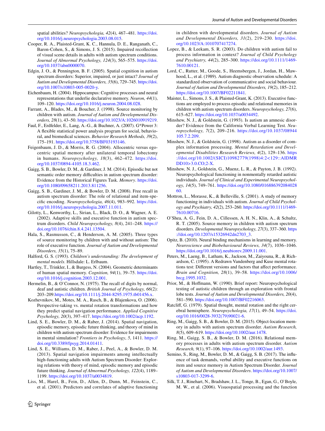spatial abilities? *Neuropsychologia, 42*(4), 467–481. [https://doi.](https://doi.org/10.1016/j.neuropsychologia.2003.08.015) [org/10.1016/j.neuropsychologia.2003.08.015.](https://doi.org/10.1016/j.neuropsychologia.2003.08.015)

- <span id="page-10-8"></span>Cooper, R. A., Plaisted-Grant, K. C., Hannula, D. E., Ranganath, C., Baron-Cohen, S., & Simons, J. S. (2015). Impaired recollection of visual scene details in adults with autism spectrum conditions. *Journal of Abnormal Psychology, 124*(3), 565–575. [https://doi.](https://doi.org/10.1037/abn0000070) [org/10.1037/abn0000070.](https://doi.org/10.1037/abn0000070)
- <span id="page-10-21"></span>Edgin, J. O., & Pennington, B. F. (2005). Spatial cognition in autism spectrum disorders: Superior, impaired, or just intact? *Journal of Autism and Developmental Disorders, 35*(6), 729–745. [https://doi.](https://doi.org/10.1007/s10803-005-0020-y) [org/10.1007/s10803-005-0020-y](https://doi.org/10.1007/s10803-005-0020-y).
- <span id="page-10-15"></span>Eichenbaum, H. (2004). Hippocampus: Cognitive processes and neural representations that underlie declarative memory. *Neuron, 44*(1), 109–120. [https://doi.org/10.1016/j.neuron.2004.08.028.](https://doi.org/10.1016/j.neuron.2004.08.028)
- <span id="page-10-2"></span>Farrant, A., Blades, M., & Boucher, J. (1998). Source monitoring by children with autism. *Journal of Autism and Developmental Disorders, 28*(1), 43–50.<https://doi.org/10.1023/A:1026010919219>.
- <span id="page-10-26"></span>Faul, F., Erdfelder, E., Lang, A.-G., & Buchner, A. (2007). G\*Power 3: A flexible statistical power analysis program for social, behavioral, and biomedical sciences. *Behavior Research Methods, 39*(2), 175–191.<https://doi.org/10.3758/BF03193146>.
- <span id="page-10-18"></span>Feigenbaum, J. D., & Morris, R. G. (2004). Allocentric versus egocentric spatial memory after unilateral temporal lobectomy in humans. *Neuropsychology, 18*(3), 462–472. [https://doi.](https://doi.org/10.1037/0894-4105.18.3.462) [org/10.1037/0894-4105.18.3.462.](https://doi.org/10.1037/0894-4105.18.3.462)
- <span id="page-10-5"></span>Gaigg, S. B., Bowler, D. M., & Gardiner, J. M. (2014). Episodic but not semantic order memory difficulties in autism spectrum disorder: Evidence from the Historical Figures Task. *Memory*. [https://doi.](https://doi.org/10.1080/09658211.2013.811256) [org/10.1080/09658211.2013.811256.](https://doi.org/10.1080/09658211.2013.811256)
- <span id="page-10-3"></span>Gaigg, S. B., Gardiner, J. M., & Bowler, D. M. (2008). Free recall in autism spectrum disorder: The role of relational and item-specific encoding. *Neuropsychologia, 46*(4), 983–992. [https://doi.](https://doi.org/10.1016/j.neuropsychologia.2007.11.011) [org/10.1016/j.neuropsychologia.2007.11.011.](https://doi.org/10.1016/j.neuropsychologia.2007.11.011)
- <span id="page-10-19"></span>Gilotty, L., Kenworthy, L., Sirian, L., Black, D. O., & Wagner, A. E. (2002). Adaptive skills and executive function in autism spectrum disorders. *Child Neuropsychology, 8*(4), 241–248. [https://](https://doi.org/10.1076/chin.8.4.241.13504) [doi.org/10.1076/chin.8.4.241.13504.](https://doi.org/10.1076/chin.8.4.241.13504)
- <span id="page-10-11"></span>Hala, S., Rasmussen, C., & Henderson, A. M. (2005). Three types of source monitoring by children with and without autism: The role of executive function. *Journal of Autism and Developmental Disorders, 35*(1), 75–89.
- <span id="page-10-32"></span>Halford, G. S. (1993). *Children's understanding: The development of mental models*. Hillsdale: L. Erlbaum.
- <span id="page-10-17"></span>Hartley, T., Trinkler, I., & Burgess, N. (2004). Geometric determinants of human spatial memory. *Cognition, 94*(1), 39–75. [https://doi.](https://doi.org/10.1016/j.cognition.2003.12.001) [org/10.1016/j.cognition.2003.12.001](https://doi.org/10.1016/j.cognition.2003.12.001).
- <span id="page-10-0"></span>Hermelin, B., & O`Connor, N. (1975). The recall of digits by normal, deaf and autistic children. *British Journal of Psychology, 66*(2): 203–209[.https://doi.org/10.1111/j.2044-8295.1975.tb01456.x](https://doi.org/10.1111/j.2044-8295.1975.tb01456.x).
- <span id="page-10-30"></span>Kozhevnikov, M., Motes, M. A., Rasch, B., & Blajenkova, O. (2006). Perspective-taking vs. mental rotation transformations and how they predict spatial navigation performance. *Applied Cognitive Psychology, 20*(3), 397–417. <https://doi.org/10.1002/acp.1192>.
- <span id="page-10-24"></span>Lind, S. E., Bowler, D. M., & Raber, J. (2014). Spatial navigation, episodic memory, episodic future thinking, and theory of mind in children with autism spectrum disorder: Evidence for impairments in mental simulation? *Frontiers in Psychology*, *5*, 1411. [https://](https://doi.org/10.3389/fpsyg.2014.01411) [doi.org/10.3389/fpsyg.2014.01411](https://doi.org/10.3389/fpsyg.2014.01411).
- <span id="page-10-22"></span>Lind, S. E., Williams, D. M., Raber, J., Peel, A., & Bowler, D. M. (2013). Spatial navigation impairments among intellectually high-functioning adults with Autism Spectrum Disorder: Exploring relations with theory of mind, episodic memory and episodic future thinking. *Journal of Abnormal Psychology, 122*(4), 1189– 1199.<https://doi.org/10.1037/a0034819>.
- <span id="page-10-20"></span>Liss, M., Harel, B., Fein, D., Allen, D., Dunn, M., Feinstein, C., et al. (2001). Predictors and correlates of adaptive functioning

in children with developmental disorders. *Journal of Autism and Developmental Disorders, 31*(2), 219–230. [https://doi.](https://doi.org/10.1023/A:1010707417274) [org/10.1023/A:1010707417274.](https://doi.org/10.1023/A:1010707417274)

- <span id="page-10-12"></span>Lopez, B., & Leekam, S. R. (2003). Do children with autism fail to process information in context? *Journal of Child Psychology and Psychiatry, 44*(2), 285–300. [https://doi.org/10.1111/1469-](https://doi.org/10.1111/1469-7610.00121) [7610.00121.](https://doi.org/10.1111/1469-7610.00121)
- <span id="page-10-27"></span>Lord, C., Rutter, M., Goode, S., Heemsbergen, J., Jordan, H., Mawhood, L., et al. (1989). Autism diagnostic observation schedule: A standardized observation of communicative and social behaviour. *Journal of Autism and Developmental Disorders, 19*(2), 185–212. <https://doi.org/10.1007/BF02211841>.
- <span id="page-10-13"></span>Maister, L., Simons, J. S., & Plaisted-Grant, K. (2013). Executive functions are employed to process episodic and relational memories in children with autism spectrum disorders. *Neuropsychology, 27*(6), 615–627.<https://doi.org/10.1037/a0034492>.
- <span id="page-10-6"></span>Minshew, N. J., & Goldstein, G. (1993). Is autism an amnesic disorder? Evidence from the California Verbal Learning Test. *Neuropsychology, 7*(2), 209–216. [https://doi.org/10.1037/08944](https://doi.org/10.1037/08944105.7.2.209) [105.7.2.209](https://doi.org/10.1037/08944105.7.2.209).
- <span id="page-10-31"></span>Minshew, N. J., & Goldstein, G. (1998). Autism as a disorder of complex information processing. *Mental Retardation and Developmental Disabilities Research Reviews, 4*(2), 129–136. [https](https://doi.org/10.1002/(SICI)10982779(1998)4:2<129::AIDMRDD10>3.0.CO;2-X) [://doi.org/10.1002/\(SICI\)10982779\(1998\)4:2<129::AIDMR](https://doi.org/10.1002/(SICI)10982779(1998)4:2<129::AIDMRDD10>3.0.CO;2-X) [DD10>3.0.CO;2-X](https://doi.org/10.1002/(SICI)10982779(1998)4:2<129::AIDMRDD10>3.0.CO;2-X).
- <span id="page-10-4"></span>Minshew, N. J., Goldstein, G., Muenz, L. R., & Payton, J. B. (1992). Neuropsychological functioning in nonmentally retarded autistic individuals. *Journal of Clinical and Experimental Neuropsychology, 14*(5), 749–761. [https://doi.org/10.1080/016886392084028](https://doi.org/10.1080/01688639208402860) [60.](https://doi.org/10.1080/01688639208402860)
- <span id="page-10-1"></span>Mottron, L., Morasse, K., & Belleville, S. (2001). A study of memory functioning in individuals with autism. *Journal of Child Psychology and Psychiatry, 42*(2), 253–260. [https://doi.org/10.1111/1469-](https://doi.org/10.1111/1469-7610.00716) [7610.00716.](https://doi.org/10.1111/1469-7610.00716)
- <span id="page-10-14"></span>O'Shea, A. G., Fein, D. A., Cillessen, A. H. N., Klin, A., & Schultz, R. T. (2005). Source memory in children with autism spectrum disorders. *Developmental Neuropsychology, 27*(3), 337–360. [https](https://doi.org/10.1207/s15326942dn2703_3) [://doi.org/10.1207/s15326942dn2703\\_3.](https://doi.org/10.1207/s15326942dn2703_3)
- <span id="page-10-16"></span>Opitz, B. (2010). Neural binding mechanisms in learning and memory. *Neuroscience and Biobehavioural Reviews, 34*(7), 1036–1046. [https://doi.org/10.1016/j.neubiorev.2009.11.001.](https://doi.org/10.1016/j.neubiorev.2009.11.001)
- <span id="page-10-29"></span>Peters, M., Laeng, B., Latham, K., Jackson, M., Zaiyouna, R., & Richardson, C. (1995). A Redrawn Vandenberg and Kuse mental rotations test: Different versions and factors that affect performance. *Brain and Cognition, 28*(1), 39–58. [https://doi.org/10.1006/](https://doi.org/10.1006/brcg.1995.1032) [brcg.1995.1032](https://doi.org/10.1006/brcg.1995.1032).
- <span id="page-10-23"></span>Prior, M., & Hoffmann, W. (1990). Brief report: Neuropsychological testing of autistic children through an exploration with frontal lobe tests. *Journal of Autism and Developmental Disorders, 20*(4), 581–590.<https://doi.org/10.1007/BF02216063>.
- <span id="page-10-28"></span>Ratcliff, G. (1979). Spatial thought, mental rotation and the right cerebral hemisphere. *Neuropsychologia, 17*(1), 49–54. [https://doi.](https://doi.org/10.1016/0028-3932(79)90021-6) [org/10.1016/0028-3932\(79\)90021-6](https://doi.org/10.1016/0028-3932(79)90021-6).
- <span id="page-10-9"></span>Ring, M., Gaigg, S. B., & Bowler, D. M. (2015). Object-location memory in adults with autism spectrum disorder. *Autism Research, 8*(5), 609–619.<https://doi.org/10.1002/aur.1478>.
- <span id="page-10-7"></span>Ring, M., Gaigg, S. B., & Bowler, D. M. (2016). Relational memory processes in adults with autism spectrum disorder. *Autism Research, 9*(1), 97–106.<https://doi.org/10.1002/aur.1493>.
- <span id="page-10-10"></span>Semino, S., Ring, M., Bowler, D. M., & Gaigg, S. B. (2017). The influence of task demands, verbal ability and executive functions on item and source memory in Autism Spectrum Disorder. *Journal of Autism and Developmental Disorders*. [https://doi.org/10.1007/](https://doi.org/10.1007/s10803-017-3299-6) [s10803-017-3299-6.](https://doi.org/10.1007/s10803-017-3299-6)
- <span id="page-10-25"></span>Silk, T. J., Rinehart, N., Bradshaw, J. L., Tonge, B., Egan, G., O`Boyle, M. W., et al. (2006). Visuospatial processing and the function